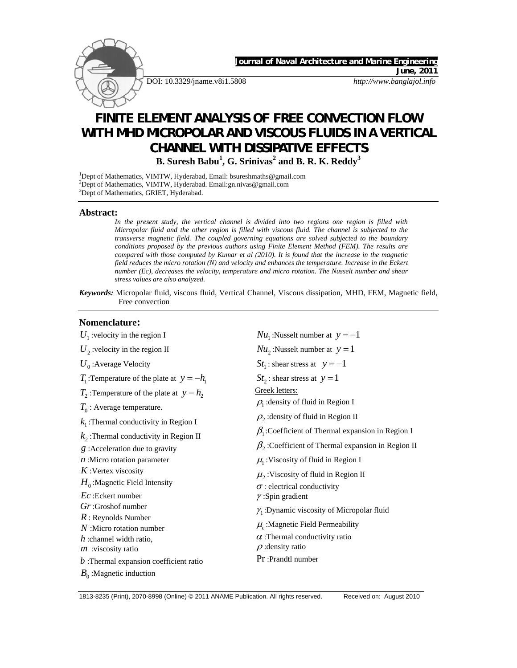

DOI: 10.3329/jname.v8i1.5808 *http://www.banglajol.info*

 *Journal of Naval Architecture and Marine Engineering* 

*June, 2011* 

# **FINITE ELEMENT ANALYSIS OF FREE CONVECTION FLOW WITH MHD MICROPOLAR AND VISCOUS FLUIDS IN A VERTICAL CHANNEL WITH DISSIPATIVE EFFECTS B. Suresh Babu1 , G. Srinivas<sup>2</sup> and B. R. K. Reddy3**

<sup>1</sup>Dept of Mathematics, VIMTW, Hyderabad, Email: bsureshmaths@gmail.com <sup>2</sup>Dept of Mathematics, VIMTW, Hyderabad. Email:gn.nivas@gmail.com <sup>3</sup>Dept of Mathematics, GRIET, Hyderabad.

#### **Abstract:**

*In the present study, the vertical channel is divided into two regions one region is filled with Micropolar fluid and the other region is filled with viscous fluid. The channel is subjected to the transverse magnetic field. The coupled governing equations are solved subjected to the boundary conditions proposed by the previous authors using Finite Element Method (FEM). The results are compared with those computed by Kumar et al (2010). It is found that the increase in the magnetic field reduces the micro rotation (N) and velocity and enhances the temperature. Increase in the Eckert number (Ec), decreases the velocity, temperature and micro rotation. The Nusselt number and shear stress values are also analyzed.* 

*Keywords:* Micropolar fluid, viscous fluid, Vertical Channel, Viscous dissipation, MHD, FEM, Magnetic field, Free convection

| Nomenclature:                                  |                                                         |
|------------------------------------------------|---------------------------------------------------------|
| $U_1$ : velocity in the region I               | $Nu_1$ :Nusselt number at $y = -1$                      |
| $U_2$ : velocity in the region II              | $Nu$ <sub>2</sub> : Nusselt number at $y = 1$           |
| $U_0$ : Average Velocity                       | $St_1$ : shear stress at $y = -1$                       |
| $T_1$ : Temperature of the plate at $y = -h_1$ | $St_2$ : shear stress at $y = 1$                        |
| $T_2$ : Temperature of the plate at $y = h_2$  | Greek letters:                                          |
| $T_0$ : Average temperature.                   | $\rho_1$ : density of fluid in Region I                 |
| $k1$ : Thermal conductivity in Region I        | $\rho$ <sub>2</sub> : density of fluid in Region II     |
| $k2$ : Thermal conductivity in Region II       | $\beta_1$ :Coefficient of Thermal expansion in Region I |
| $g$ : Acceleration due to gravity              | $\beta$ . Coefficient of Thermal expansion in Region II |
| $n$ : Micro rotation parameter                 | $\mu$ <sub>1</sub> : Viscosity of fluid in Region I     |
| $K$ : Vertex viscosity                         | $\mu$ <sub>2</sub> : Viscosity of fluid in Region II    |
| $H_0$ :Magnetic Field Intensity                | $\sigma$ : electrical conductivity                      |
| Ec:Ekert number                                | $\gamma$ : Spin gradient                                |
| $Gr$ :Groshof number                           | $\gamma_1$ : Dynamic viscosity of Micropolar fluid      |
| $R$ : Reynolds Number                          | $\mu_e$ :Magnetic Field Permeability                    |
| $N$ :Micro rotation number                     |                                                         |
| $h$ :channel width ratio,                      | $\alpha$ : Thermal conductivity ratio                   |
| $m$ : viscosity ratio                          | $\rho$ : density ratio                                  |
| $b$ : Thermal expansion coefficient ratio      | Pr:Prandtl number                                       |
| $B_0$ :Magnetic induction                      |                                                         |

#### 1813-8235 (Print), 2070-8998 (Online) © 2011 ANAME Publication. All rights reserved. Received on: August 2010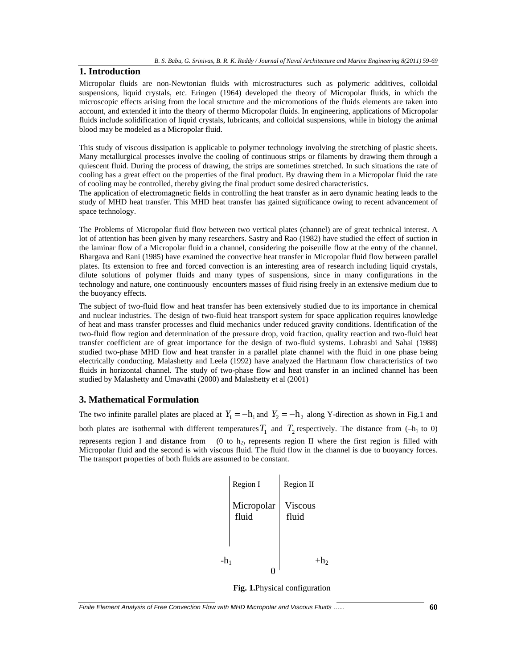# **1. Introduction**

Micropolar fluids are non-Newtonian fluids with microstructures such as polymeric additives, colloidal suspensions, liquid crystals, etc. Eringen (1964) developed the theory of Micropolar fluids, in which the microscopic effects arising from the local structure and the micromotions of the fluids elements are taken into account, and extended it into the theory of thermo Micropolar fluids. In engineering, applications of Micropolar fluids include solidification of liquid crystals, lubricants, and colloidal suspensions, while in biology the animal blood may be modeled as a Micropolar fluid.

This study of viscous dissipation is applicable to polymer technology involving the stretching of plastic sheets. Many metallurgical processes involve the cooling of continuous strips or filaments by drawing them through a quiescent fluid. During the process of drawing, the strips are sometimes stretched. In such situations the rate of cooling has a great effect on the properties of the final product. By drawing them in a Micropolar fluid the rate of cooling may be controlled, thereby giving the final product some desired characteristics.

The application of electromagnetic fields in controlling the heat transfer as in aero dynamic heating leads to the study of MHD heat transfer. This MHD heat transfer has gained significance owing to recent advancement of space technology.

The Problems of Micropolar fluid flow between two vertical plates (channel) are of great technical interest. A lot of attention has been given by many researchers. Sastry and Rao (1982) have studied the effect of suction in the laminar flow of a Micropolar fluid in a channel, considering the poiseuille flow at the entry of the channel. Bhargava and Rani (1985) have examined the convective heat transfer in Micropolar fluid flow between parallel plates. Its extension to free and forced convection is an interesting area of research including liquid crystals, dilute solutions of polymer fluids and many types of suspensions, since in many configurations in the technology and nature, one continuously encounters masses of fluid rising freely in an extensive medium due to the buoyancy effects.

The subject of two-fluid flow and heat transfer has been extensively studied due to its importance in chemical and nuclear industries. The design of two-fluid heat transport system for space application requires knowledge of heat and mass transfer processes and fluid mechanics under reduced gravity conditions. Identification of the two-fluid flow region and determination of the pressure drop, void fraction, quality reaction and two-fluid heat transfer coefficient are of great importance for the design of two-fluid systems. Lohrasbi and Sahai (1988) studied two-phase MHD flow and heat transfer in a parallel plate channel with the fluid in one phase being electrically conducting. Malashetty and Leela (1992) have analyzed the Hartmann flow characteristics of two fluids in horizontal channel. The study of two-phase flow and heat transfer in an inclined channel has been studied by Malashetty and Umavathi (2000) and Malashetty et al (2001)

#### **3. Mathematical Formulation**

The two infinite parallel plates are placed at  $Y_1 = -h_1$  and  $Y_2 = -h_2$  along Y-direction as shown in Fig.1 and both plates are isothermal with different temperatures  $T_1$  and  $T_2$  respectively. The distance from  $(-h_1$  to 0) represents region I and distance from  $(0 \text{ to } h_2)$  represents region II where the first region is filled with Micropolar fluid and the second is with viscous fluid. The fluid flow in the channel is due to buoyancy forces. The transport properties of both fluids are assumed to be constant.

|        | Region I            | Region II        |  |
|--------|---------------------|------------------|--|
|        | Micropolar<br>fluid | Viscous<br>fluid |  |
| $-h_1$ |                     | $+h_2$           |  |

**Fig. 1.**Physical configuration

*Finite Element Analysis of Free Convection Flow with MHD Micropolar and Viscous Fluids …...* **60**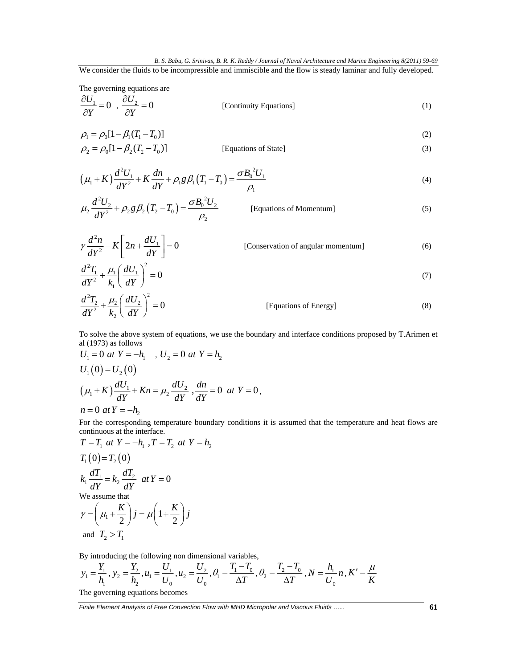We consider the fluids to be incompressible and immiscible and the flow is steady laminar and fully developed.

The governing equations are<br> $\partial U$   $\partial U$  $2U$ 

$$
\frac{\partial U_1}{\partial Y} = 0 \quad , \quad \frac{\partial U_2}{\partial Y} = 0 \tag{1}
$$
 [Continuity Equations]

$$
\rho_1 = \rho_0 [1 - \beta_1 (T_1 - T_0)]
$$
\n
$$
\rho_2 = \rho_0 [1 - \beta_2 (T_2 - T_0)]
$$
\n[Equations of State]

\n
$$
(3)
$$

$$
\left(\mu_1 + K\right) \frac{d^2 U_1}{dY^2} + K \frac{dn}{dY} + \rho_1 g \beta_1 \left(T_1 - T_0\right) = \frac{\sigma B_0^2 U_1}{\rho_1} \tag{4}
$$

$$
\mu_2 \frac{d^2 U_2}{dY^2} + \rho_2 g \beta_2 (T_2 - T_0) = \frac{\sigma B_0^2 U_2}{\rho_2}
$$
 [Equations of Momentum] (5)

$$
\gamma \frac{d^2 n}{dY^2} - K \left[ 2n + \frac{dU_1}{dY} \right] = 0
$$
 [Conservation of angular momentum]  
\n
$$
\frac{d^2 T_1}{dY^2} + \frac{\mu_1}{k_1} \left( \frac{dU_1}{dY} \right)^2 = 0
$$
\n(7)  
\n
$$
\frac{d^2 T_2}{dY^2} + \frac{\mu_2}{k_2} \left( \frac{dU_2}{dY} \right)^2 = 0
$$
\n[Equations of Energy] (8)

$$
dY^2
$$
  $k_2$   $\langle dY \rangle$   
To solve the above system of equations, we use the boundary and interface conditions proposed by T.Arimen et al (1973) as follows

$$
U_1 = 0 \text{ at } Y = -h_1, \quad U_2 = 0 \text{ at } Y = h_2
$$
  
\n
$$
U_1(0) = U_2(0)
$$
  
\n
$$
(\mu_1 + K) \frac{dU_1}{dY} + Kn = \mu_2 \frac{dU_2}{dY}, \frac{dn}{dY} = 0 \text{ at } Y = 0,
$$
  
\n
$$
n = 0 \text{ at } Y = -h_2
$$

For the corresponding temperature boundary conditions it is assumed that the temperature and heat flows are continuous at the interface.

$$
T = T_1 \text{ at } Y = -h_1, T = T_2 \text{ at } Y = h_2
$$
  
\n
$$
T_1(0) = T_2(0)
$$
  
\n
$$
k_1 \frac{dT_1}{dY} = k_2 \frac{dT_2}{dY} \text{ at } Y = 0
$$
  
\nWe assume that  
\n
$$
\gamma = \left(\mu_1 + \frac{K}{2}\right) j = \mu \left(1 + \frac{K}{2}\right) j
$$
  
\nand  $T_2 > T_1$ 

By introducing the following non dimensional variables,

$$
y_1 = \frac{Y_1}{h_1}, y_2 = \frac{Y_2}{h_2}, u_1 = \frac{U_1}{U_0}, u_2 = \frac{U_2}{U_0}, \theta_1 = \frac{T_1 - T_0}{\Delta T}, \theta_2 = \frac{T_2 - T_0}{\Delta T}, N = \frac{h_1}{U_0}n, K' = \frac{\mu}{K}
$$
  
The governing equations becomes

*Finite Element Analysis of Free Convection Flow with MHD Micropolar and Viscous Fluids …...* **61**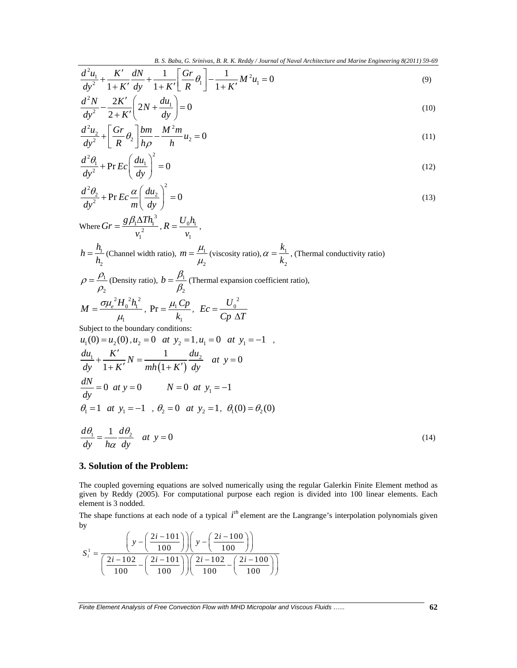$$
\frac{d^2u_1}{dy^2} + \frac{K'}{1+K'}\frac{dN}{dy} + \frac{1}{1+K'}\left[\frac{Gr}{R}\theta_1\right] - \frac{1}{1+K'}M^2u_1 = 0\tag{9}
$$

$$
\frac{d^2N}{dy^2} - \frac{2K'}{2+K'} \left(2N + \frac{du_1}{dy}\right) = 0
$$
\n(10)

$$
\frac{d^2u_2}{dy^2} + \left[\frac{Gr}{R}\theta_2\right]\frac{bm}{h\rho} - \frac{M^2m}{h}u_2 = 0\tag{11}
$$

$$
\frac{d^2\theta_1}{dy^2} + \Pr E c \left(\frac{du_1}{dy}\right)^2 = 0\tag{12}
$$

$$
\frac{d^2\theta_2}{dy^2} + \Pr E C \frac{\alpha}{m} \left(\frac{du_2}{dy}\right)^2 = 0
$$
\n(13)

Where 
$$
Gr = \frac{g \beta_1 \Delta T h_1^3}{v_1^2}
$$
,  $R = \frac{U_0 h_1}{v_1}$ ,

$$
h = \frac{h_1}{h_2}
$$
 (Channel width ratio),  $m = \frac{\mu_1}{\mu_2}$  (viscosity ratio),  $\alpha = \frac{k_1}{k_2}$ , (Thermal conductivity ratio)

$$
\rho = \frac{\rho_1}{\rho_2}
$$
 (Density ratio),  $b = \frac{\beta_1}{\beta_2}$  (Thermal expansion coefficient ratio),

$$
M = \frac{\sigma \mu_e^2 H_0^2 h_1^2}{\mu_1}, \text{ Pr} = \frac{\mu_1 C p}{k_1}, \text{ Ec} = \frac{U_0^2}{C p \Delta T}
$$

Subject to the boundary conditions:

$$
u_1(0) = u_2(0), u_2 = 0 \text{ at } y_2 = 1, u_1 = 0 \text{ at } y_1 = -1 ,
$$
  
\n
$$
\frac{du_1}{dy} + \frac{K'}{1 + K'} N = \frac{1}{mh(1 + K')} \frac{du_2}{dy} \text{ at } y = 0
$$
  
\n
$$
\frac{dN}{dy} = 0 \text{ at } y = 0 \qquad N = 0 \text{ at } y_1 = -1
$$
  
\n
$$
\theta_1 = 1 \text{ at } y_1 = -1 , \theta_2 = 0 \text{ at } y_2 = 1, \theta_1(0) = \theta_2(0)
$$
  
\n
$$
\frac{d\theta_1}{dy} = \frac{1}{ha} \frac{d\theta_2}{dy} \text{ at } y = 0
$$
\n(14)

#### **3. Solution of the Problem:**

The coupled governing equations are solved numerically using the regular Galerkin Finite Element method as given by Reddy (2005). For computational purpose each region is divided into 100 linear elements. Each element is 3 nodded.

The shape functions at each node of a typical  $i<sup>th</sup>$  element are the Langrange's interpolation polynomials given by

$$
S_i^1 = \frac{\left(y - \left(\frac{2i - 101}{100}\right)\right)\left(y - \left(\frac{2i - 100}{100}\right)\right)}{\left(\frac{2i - 102}{100} - \left(\frac{2i - 101}{100}\right)\right)\left(\frac{2i - 102}{100} - \left(\frac{2i - 100}{100}\right)\right)}
$$

*Finite Element Analysis of Free Convection Flow with MHD Micropolar and Viscous Fluids …...* **62**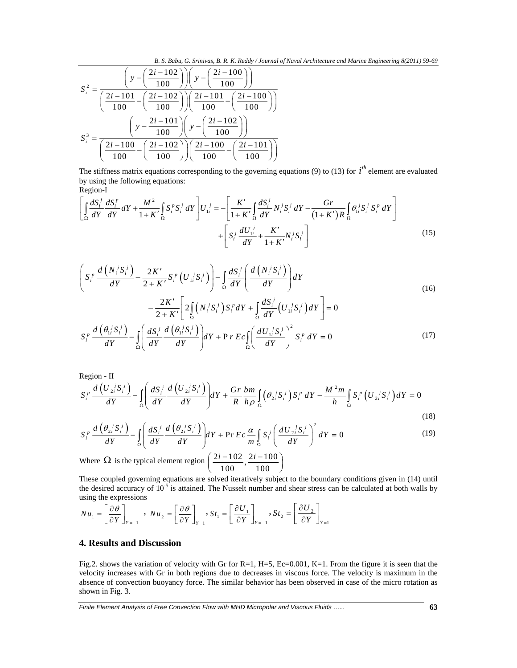$$
S_i^2 = \frac{\left(y - \left(\frac{2i - 102}{100}\right)\right)\left(y - \left(\frac{2i - 100}{100}\right)\right)}{\left(\frac{2i - 101}{100} - \left(\frac{2i - 102}{100}\right)\right)\left(\frac{2i - 101}{100} - \left(\frac{2i - 100}{100}\right)\right)}
$$

$$
S_i^3 = \frac{\left(y - \frac{2i - 101}{100}\right)\left(y - \left(\frac{2i - 102}{100}\right)\right)}{\left(\frac{2i - 100}{100} - \left(\frac{2i - 102}{100}\right)\right)\left(\frac{2i - 100}{100} - \left(\frac{2i - 101}{100}\right)\right)}
$$

The stiffness matrix equations corresponding to the governing equations (9) to (13) for  $i<sup>th</sup>$  element are evaluated by using the following equations:

Region-I

$$
\left[\int_{\Omega} \frac{dS_i^j}{dY} \frac{dS_i^p}{dY} dY + \frac{M^2}{1+K'} \int_{\Omega} S_i^p S_i^j dY\right] U_{1i}^j = -\left[\frac{K'}{1+K'} \int_{\Omega} \frac{dS_i^j}{dY} N_i^j S_i^j dY - \frac{Gr}{(1+K')R} \int_{\Omega} \theta_{1i}^j S_i^j S_i^p dY\right] + \left[S_i^j \frac{dU_{1i}^j}{dY} + \frac{K'}{1+K'} N_i^j S_i^j\right]
$$
\n(15)

$$
\left(S_i^p \frac{d\left(N_i^j S_i^j\right)}{dY} - \frac{2K'}{2+K'} S_i^p \left(U_{1i}^j S_i^j\right)\right) - \int_{\Omega} \frac{dS_i^j}{dY} \left(\frac{d\left(N_i^j S_i^j\right)}{dY}\right) dY
$$
\n
$$
- \frac{2K'}{2+K'} \left[2\int_{\Omega} \left(N_i^j S_i^j\right) S_i^p dY + \int_{\Omega} \frac{dS_i^j}{dY} \left(U_{1i}^j S_i^j\right) dY\right] = 0
$$
\n
$$
d\left(\frac{d}{dY}\right) = \int_{\Omega} \left(U_{1i}^j \frac{d}{dY}\right) dY + \int_{\Omega} \frac{dV}{dY} \left(U_{1i}^j S_i^j\right) dY
$$
\n
$$
\left(U_{1i}^j \frac{d}{dY}\right) = 0
$$
\n(16)

$$
S_i^P \frac{d\left(\theta_i^j S_i^j\right)}{dY} - \int_{\Omega} \left(\frac{dS_i^j}{dY} \frac{d\left(\theta_i^j S_i^j\right)}{dY}\right) dY + \mathbf{P}r \, E c \int_{\Omega} \left(\frac{dU_{1i}^j S_i^j}{dY}\right)^2 S_i^P dY = 0 \tag{17}
$$

Region - II

$$
S_i^p \frac{d\left(U_{2i}{}^j S_i^j\right)}{dY} - \int_{\Omega} \left(\frac{dS_i^j}{dY} \frac{d\left(U_{2i}{}^j S_i^j\right)}{dY}\right) dY + \frac{Gr \, bm}{R \, h\rho} \int_{\Omega} \left(\theta_{2i}{}^j S_i^j\right) S_i^p dY - \frac{M^2 m}{h} \int_{\Omega} S_i^p \left(U_{2i}{}^j S_i^j\right) dY = 0
$$
\n(18)

$$
S_i^p \frac{d\left(\theta_{2i}^j S_i^j\right)}{dY} - \int_{\Omega} \left(\frac{dS_i^j}{dY} \frac{d\left(\theta_{2i}^j S_i^j\right)}{dY}\right) dY + \Pr E_C \frac{\alpha}{m} \int_{\Omega} S_i^j \left(\frac{dU_{2i}^j S_i^j}{dY}\right)^2 dY = 0 \tag{19}
$$

Where  $\Omega$  is the typical element region  $\left(\frac{2i - 102}{100}, \frac{2i - 100}{100}\right)$ 

These coupled governing equations are solved iteratively subject to the boundary conditions given in (14) until the desired accuracy of  $10^{-5}$  is attained. The Nusselt number and shear stress can be calculated at both walls by using the expressions

$$
Nu_1 = \left[\frac{\partial \theta}{\partial Y}\right]_{Y=-1}, Nu_2 = \left[\frac{\partial \theta}{\partial Y}\right]_{Y=1}, St_1 = \left[\frac{\partial U_1}{\partial Y}\right]_{Y=-1}, St_2 = \left[\frac{\partial U_2}{\partial Y}\right]_{Y=1}
$$

# **4. Results and Discussion**

Fig.2. shows the variation of velocity with Gr for R=1, H=5, Ec=0.001, K=1. From the figure it is seen that the velocity increases with Gr in both regions due to decreases in viscous force. The velocity is maximum in the absence of convection buoyancy force. The similar behavior has been observed in case of the micro rotation as shown in Fig. 3.

*Finite Element Analysis of Free Convection Flow with MHD Micropolar and Viscous Fluids …...* **63**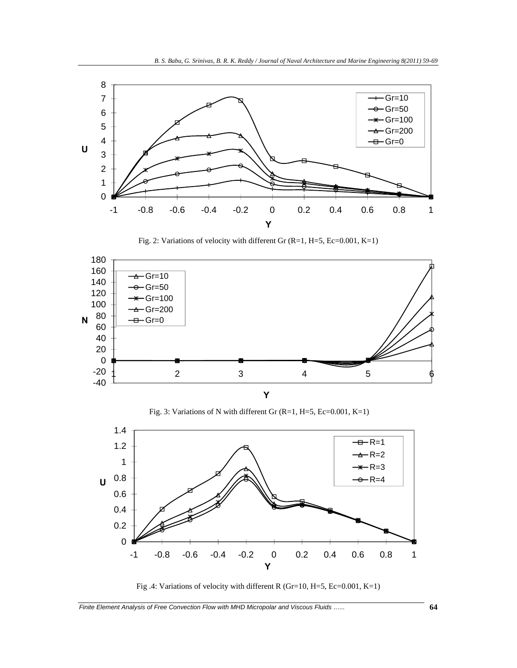

Fig. 2: Variations of velocity with different Gr (R=1, H=5, Ec=0.001, K=1)



Fig. 3: Variations of N with different Gr (R=1, H=5, Ec=0.001, K=1)



Fig .4: Variations of velocity with different R (Gr=10, H=5, Ec=0.001, K=1)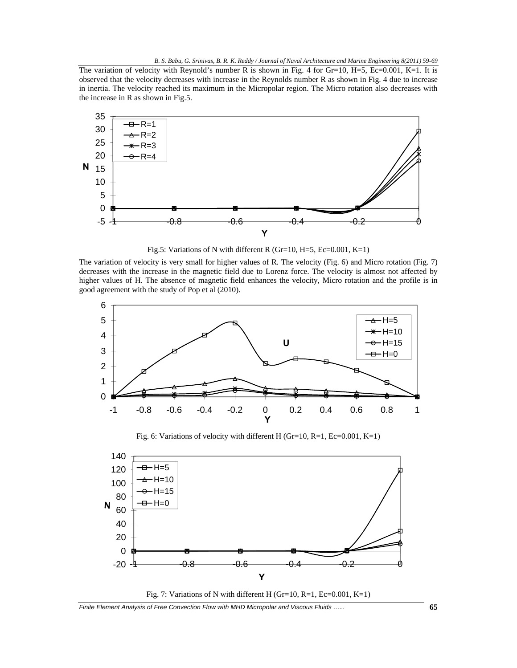The variation of velocity with Reynold's number R is shown in Fig. 4 for Gr=10, H=5, Ec=0.001, K=1. It is observed that the velocity decreases with increase in the Reynolds number R as shown in Fig. 4 due to increase in inertia. The velocity reached its maximum in the Micropolar region. The Micro rotation also decreases with the increase in R as shown in Fig.5.



Fig.5: Variations of N with different R (Gr=10, H=5, Ec=0.001, K=1)

The variation of velocity is very small for higher values of R. The velocity (Fig. 6) and Micro rotation (Fig. 7) decreases with the increase in the magnetic field due to Lorenz force. The velocity is almost not affected by higher values of H. The absence of magnetic field enhances the velocity, Micro rotation and the profile is in good agreement with the study of Pop et al (2010).



Fig. 6: Variations of velocity with different H (Gr=10, R=1, Ec=0.001, K=1)



Fig. 7: Variations of N with different H (Gr=10, R=1, Ec=0.001, K=1)

*Finite Element Analysis of Free Convection Flow with MHD Micropolar and Viscous Fluids …...* **65**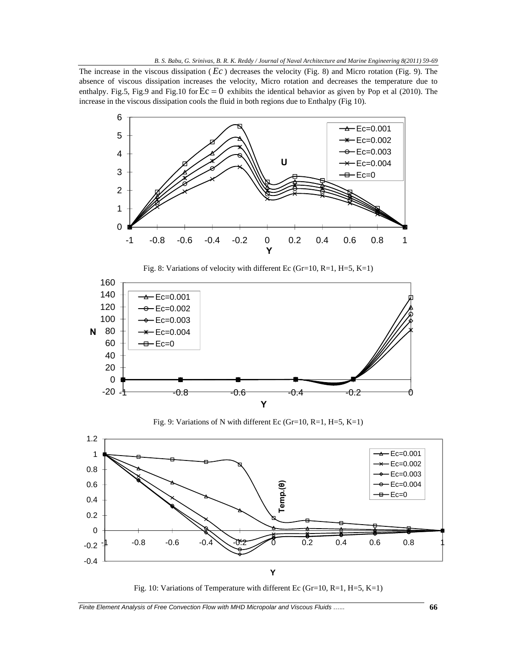The increase in the viscous dissipation ( *Ec* ) decreases the velocity (Fig. 8) and Micro rotation (Fig. 9). The absence of viscous dissipation increases the velocity, Micro rotation and decreases the temperature due to enthalpy. Fig.5, Fig.9 and Fig.10 for  $Ec = 0$  exhibits the identical behavior as given by Pop et al (2010). The increase in the viscous dissipation cools the fluid in both regions due to Enthalpy (Fig 10).



Fig. 8: Variations of velocity with different Ec (Gr=10, R=1, H=5, K=1)



Fig. 9: Variations of N with different Ec (Gr=10, R=1, H=5, K=1)



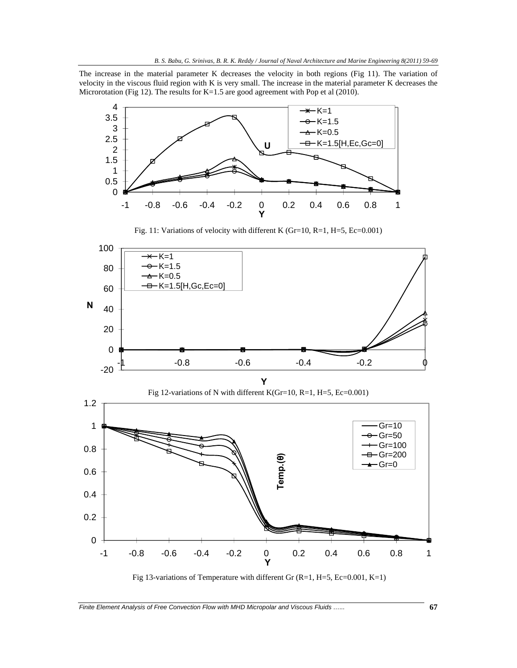The increase in the material parameter K decreases the velocity in both regions (Fig 11). The variation of velocity in the viscous fluid region with K is very small. The increase in the material parameter K decreases the Microrotation (Fig 12). The results for K=1.5 are good agreement with Pop et al (2010).



Fig. 11: Variations of velocity with different K (Gr=10, R=1, H=5, Ec=0.001)



Fig 13-variations of Temperature with different Gr (R=1, H=5, Ec=0.001, K=1)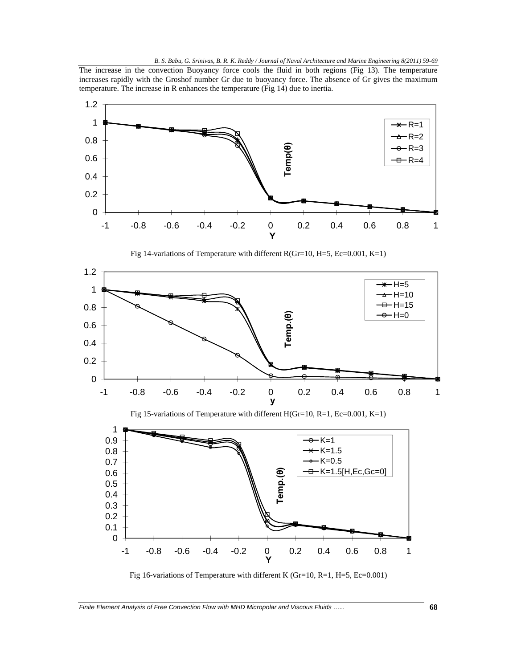The increase in the convection Buoyancy force cools the fluid in both regions (Fig 13). The temperature increases rapidly with the Groshof number Gr due to buoyancy force. The absence of Gr gives the maximum temperature. The increase in R enhances the temperature (Fig 14) due to inertia.



Fig 14-variations of Temperature with different R(Gr=10, H=5, Ec=0.001, K=1)



Fig 16-variations of Temperature with different K (Gr=10, R=1, H=5, Ec=0.001)